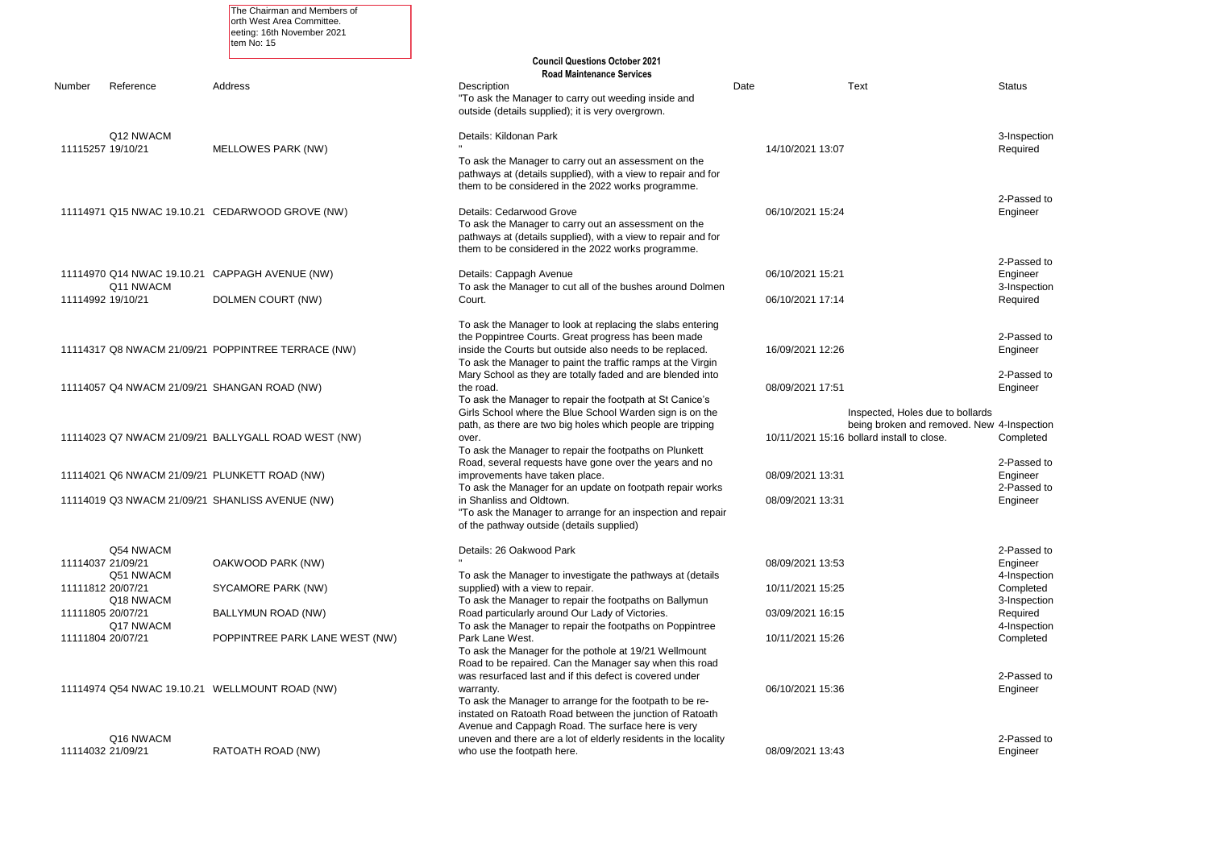|                   | <b>Status</b>                                                                                                 |
|-------------------|---------------------------------------------------------------------------------------------------------------|
|                   | 3-Inspection<br>Required                                                                                      |
|                   | 2-Passed to<br>Engineer                                                                                       |
|                   | 2-Passed to<br>Engineer<br>3-Inspection<br>Required                                                           |
|                   | 2-Passed to<br>Engineer                                                                                       |
|                   | 2-Passed to<br>Engineer                                                                                       |
| to bollards<br>€. | noved. New 4-Inspection<br>Completed                                                                          |
|                   | 2-Passed to<br>Engineer<br>2-Passed to<br>Engineer                                                            |
|                   | 2-Passed to<br>Engineer<br>4-Inspection<br>Completed<br>3-Inspection<br>Required<br>4-Inspection<br>Completed |
|                   | 2-Passed to<br>Engineer                                                                                       |
|                   |                                                                                                               |

|                   |                        | The Chairman and Members of<br>orth West Area Committee.<br>eeting: 16th November 2021<br>tem No: 15 |                                                                                                                                                                                                                                              |                  |                                                                                    |                           |
|-------------------|------------------------|------------------------------------------------------------------------------------------------------|----------------------------------------------------------------------------------------------------------------------------------------------------------------------------------------------------------------------------------------------|------------------|------------------------------------------------------------------------------------|---------------------------|
|                   |                        |                                                                                                      | <b>Council Questions October 2021</b><br><b>Road Maintenance Services</b>                                                                                                                                                                    |                  |                                                                                    |                           |
| Number            | Reference              | Address                                                                                              | Description<br>"To ask the Manager to carry out weeding inside and<br>outside (details supplied); it is very overgrown.                                                                                                                      | Date             | <b>Text</b>                                                                        | Status                    |
| 11115257 19/10/21 | Q12 NWACM              | <b>MELLOWES PARK (NW)</b>                                                                            | Details: Kildonan Park                                                                                                                                                                                                                       | 14/10/2021 13:07 |                                                                                    | 3-Insp<br>Requi           |
|                   |                        |                                                                                                      | To ask the Manager to carry out an assessment on the<br>pathways at (details supplied), with a view to repair and for<br>them to be considered in the 2022 works programme.                                                                  |                  |                                                                                    |                           |
|                   |                        | 11114971 Q15 NWAC 19.10.21 CEDARWOOD GROVE (NW)                                                      | Details: Cedarwood Grove<br>To ask the Manager to carry out an assessment on the<br>pathways at (details supplied), with a view to repair and for<br>them to be considered in the 2022 works programme.                                      | 06/10/2021 15:24 |                                                                                    | 2-Pas<br>Engine           |
|                   | Q11 NWACM              | 11114970 Q14 NWAC 19.10.21 CAPPAGH AVENUE (NW)                                                       | Details: Cappagh Avenue<br>To ask the Manager to cut all of the bushes around Dolmen                                                                                                                                                         | 06/10/2021 15:21 |                                                                                    | 2-Pas<br>Engine<br>3-Insp |
| 11114992 19/10/21 |                        | DOLMEN COURT (NW)                                                                                    | Court.                                                                                                                                                                                                                                       | 06/10/2021 17:14 |                                                                                    | Requi                     |
|                   |                        | 11114317 Q8 NWACM 21/09/21 POPPINTREE TERRACE (NW)                                                   | To ask the Manager to look at replacing the slabs entering<br>the Poppintree Courts. Great progress has been made<br>inside the Courts but outside also needs to be replaced.<br>To ask the Manager to paint the traffic ramps at the Virgin | 16/09/2021 12:26 |                                                                                    | 2-Pas<br>Engine           |
|                   |                        | 11114057 Q4 NWACM 21/09/21 SHANGAN ROAD (NW)                                                         | Mary School as they are totally faded and are blended into<br>the road.<br>To ask the Manager to repair the footpath at St Canice's<br>Girls School where the Blue School Warden sign is on the                                              | 08/09/2021 17:51 | Inspected, Holes due to bollards                                                   | 2-Pas<br>Engine           |
|                   |                        | 11114023 Q7 NWACM 21/09/21 BALLYGALL ROAD WEST (NW)                                                  | path, as there are two big holes which people are tripping<br>over.<br>To ask the Manager to repair the footpaths on Plunkett<br>Road, several requests have gone over the years and no                                                      |                  | being broken and removed. New 4-Insp<br>10/11/2021 15:16 bollard install to close. | Comp<br>2-Pas             |
|                   |                        | 11114021 Q6 NWACM 21/09/21 PLUNKETT ROAD (NW)                                                        | improvements have taken place.<br>To ask the Manager for an update on footpath repair works                                                                                                                                                  | 08/09/2021 13:31 |                                                                                    | Engin<br>2-Pas            |
|                   |                        | 11114019 Q3 NWACM 21/09/21 SHANLISS AVENUE (NW)                                                      | in Shanliss and Oldtown.<br>"To ask the Manager to arrange for an inspection and repair<br>of the pathway outside (details supplied)                                                                                                         | 08/09/2021 13:31 |                                                                                    | Engin                     |
| 11114037 21/09/21 | Q54 NWACM<br>Q51 NWACM | OAKWOOD PARK (NW)                                                                                    | Details: 26 Oakwood Park<br>To ask the Manager to investigate the pathways at (details                                                                                                                                                       | 08/09/2021 13:53 |                                                                                    | 2-Pas<br>Engin<br>4-Insp  |
| 11111812 20/07/21 | Q18 NWACM              | SYCAMORE PARK (NW)                                                                                   | supplied) with a view to repair.<br>To ask the Manager to repair the footpaths on Ballymun                                                                                                                                                   | 10/11/2021 15:25 |                                                                                    | Comp<br>3-Insp            |
| 11111805 20/07/21 | Q17 NWACM              | <b>BALLYMUN ROAD (NW)</b>                                                                            | Road particularly around Our Lady of Victories.<br>To ask the Manager to repair the footpaths on Poppintree                                                                                                                                  | 03/09/2021 16:15 |                                                                                    | Requi<br>4-Insp           |
| 11111804 20/07/21 |                        | POPPINTREE PARK LANE WEST (NW)                                                                       | Park Lane West.<br>To ask the Manager for the pothole at 19/21 Wellmount<br>Road to be repaired. Can the Manager say when this road<br>was resurfaced last and if this defect is covered under                                               | 10/11/2021 15:26 |                                                                                    | Comp<br>2-Pas             |
|                   |                        | 11114974 Q54 NWAC 19.10.21 WELLMOUNT ROAD (NW)                                                       | warranty.<br>To ask the Manager to arrange for the footpath to be re-<br>instated on Ratoath Road between the junction of Ratoath<br>Avenue and Cappagh Road. The surface here is very                                                       | 06/10/2021 15:36 |                                                                                    | Engine                    |
| 11114032 21/09/21 | Q16 NWACM              | RATOATH ROAD (NW)                                                                                    | uneven and there are a lot of elderly residents in the locality<br>who use the footpath here.                                                                                                                                                | 08/09/2021 13:43 |                                                                                    | 2-Pas<br>Engine           |

2-Passed to Engineer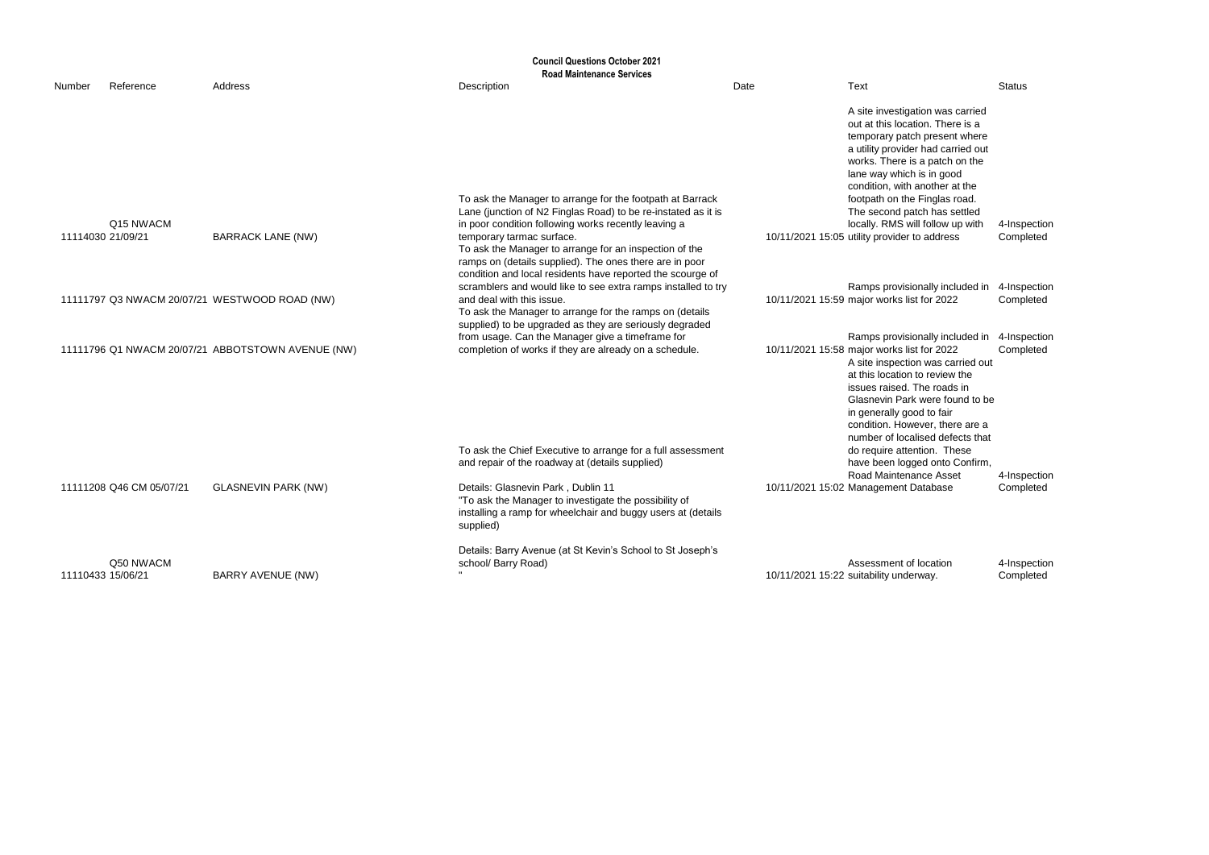|        |                                |                                                   | <b>Council Questions October 2021</b>                                                                                                                                                                                                                                                                                                |      |                                                                                                                                                                                                                                                                                                                            |                           |
|--------|--------------------------------|---------------------------------------------------|--------------------------------------------------------------------------------------------------------------------------------------------------------------------------------------------------------------------------------------------------------------------------------------------------------------------------------------|------|----------------------------------------------------------------------------------------------------------------------------------------------------------------------------------------------------------------------------------------------------------------------------------------------------------------------------|---------------------------|
| Number | Reference                      | Address                                           | <b>Road Maintenance Services</b><br>Description                                                                                                                                                                                                                                                                                      | Date | Text                                                                                                                                                                                                                                                                                                                       | <b>Status</b>             |
|        |                                |                                                   |                                                                                                                                                                                                                                                                                                                                      |      | A site investigation was carried<br>out at this location. There is a<br>temporary patch present where<br>a utility provider had carried out<br>works. There is a patch on the<br>lane way which is in good<br>condition, with another at the                                                                               |                           |
|        | Q15 NWACM<br>11114030 21/09/21 | <b>BARRACK LANE (NW)</b>                          | To ask the Manager to arrange for the footpath at Barrack<br>Lane (junction of N2 Finglas Road) to be re-instated as it is<br>in poor condition following works recently leaving a<br>temporary tarmac surface.<br>To ask the Manager to arrange for an inspection of the<br>ramps on (details supplied). The ones there are in poor |      | footpath on the Finglas road.<br>The second patch has settled<br>locally. RMS will follow up with<br>10/11/2021 15:05 utility provider to address                                                                                                                                                                          | 4-Inspection<br>Completed |
|        |                                | 11111797 Q3 NWACM 20/07/21 WESTWOOD ROAD (NW)     | condition and local residents have reported the scourge of<br>scramblers and would like to see extra ramps installed to try<br>and deal with this issue.<br>To ask the Manager to arrange for the ramps on (details<br>supplied) to be upgraded as they are seriously degraded                                                       |      | Ramps provisionally included in<br>10/11/2021 15:59 major works list for 2022                                                                                                                                                                                                                                              | 4-Inspection<br>Completed |
|        |                                | 11111796 Q1 NWACM 20/07/21 ABBOTSTOWN AVENUE (NW) | from usage. Can the Manager give a timeframe for<br>completion of works if they are already on a schedule.                                                                                                                                                                                                                           |      | Ramps provisionally included in<br>10/11/2021 15:58 major works list for 2022<br>A site inspection was carried out<br>at this location to review the<br>issues raised. The roads in<br>Glasnevin Park were found to be<br>in generally good to fair<br>condition. However, there are a<br>number of localised defects that | 4-Inspection<br>Completed |
|        |                                |                                                   | To ask the Chief Executive to arrange for a full assessment<br>and repair of the roadway at (details supplied)                                                                                                                                                                                                                       |      | do require attention. These<br>have been logged onto Confirm,<br>Road Maintenance Asset                                                                                                                                                                                                                                    | 4-Inspection              |
|        | 11111208 Q46 CM 05/07/21       | <b>GLASNEVIN PARK (NW)</b>                        | Details: Glasnevin Park, Dublin 11<br>"To ask the Manager to investigate the possibility of<br>installing a ramp for wheelchair and buggy users at (details<br>supplied)                                                                                                                                                             |      | 10/11/2021 15:02 Management Database                                                                                                                                                                                                                                                                                       | Completed                 |
|        | Q50 NWACM<br>11110433 15/06/21 | <b>BARRY AVENUE (NW)</b>                          | Details: Barry Avenue (at St Kevin's School to St Joseph's<br>school/ Barry Road)                                                                                                                                                                                                                                                    |      | Assessment of location<br>10/11/2021 15:22 suitability underway.                                                                                                                                                                                                                                                           | 4-Inspection<br>Completed |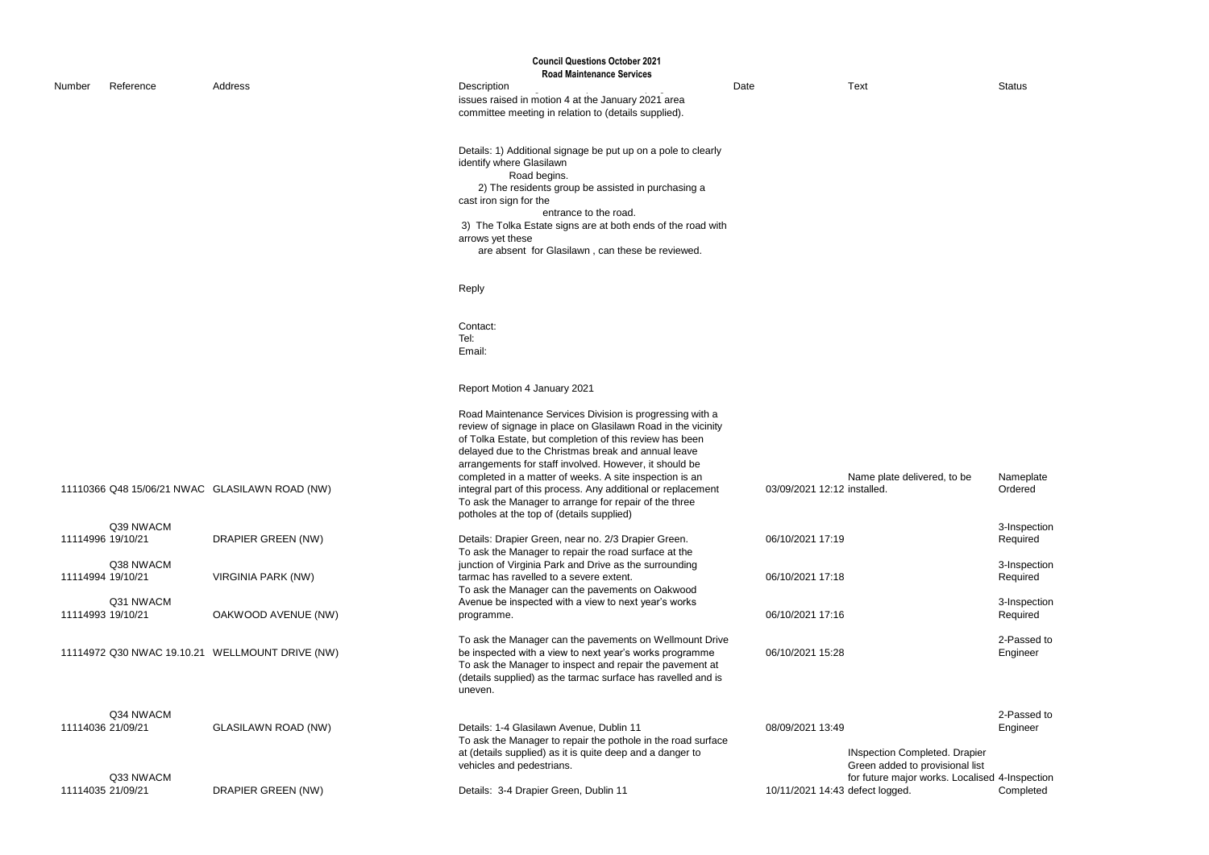# Nameplate Ordered

|        |                                |                                                 | <b>Council Questions October 2021</b><br><b>Road Maintenance Services</b>                                                                                                                                                                                                                                                                                                                                                                                                                                                             |                                 |                                                                         |                 |
|--------|--------------------------------|-------------------------------------------------|---------------------------------------------------------------------------------------------------------------------------------------------------------------------------------------------------------------------------------------------------------------------------------------------------------------------------------------------------------------------------------------------------------------------------------------------------------------------------------------------------------------------------------------|---------------------------------|-------------------------------------------------------------------------|-----------------|
|        | Reference                      | Address                                         | Description                                                                                                                                                                                                                                                                                                                                                                                                                                                                                                                           | Date                            | <b>Text</b>                                                             | Status          |
| Number |                                |                                                 | issues raised in motion 4 at the January 2021 area<br>committee meeting in relation to (details supplied).                                                                                                                                                                                                                                                                                                                                                                                                                            |                                 |                                                                         |                 |
|        |                                |                                                 | Details: 1) Additional signage be put up on a pole to clearly<br>identify where Glasilawn<br>Road begins.<br>2) The residents group be assisted in purchasing a<br>cast iron sign for the<br>entrance to the road.<br>3) The Tolka Estate signs are at both ends of the road with<br>arrows yet these<br>are absent for Glasilawn, can these be reviewed.                                                                                                                                                                             |                                 |                                                                         |                 |
|        |                                |                                                 | Reply                                                                                                                                                                                                                                                                                                                                                                                                                                                                                                                                 |                                 |                                                                         |                 |
|        |                                |                                                 | Contact:<br>Tel:<br>Email:                                                                                                                                                                                                                                                                                                                                                                                                                                                                                                            |                                 |                                                                         |                 |
|        |                                |                                                 | Report Motion 4 January 2021                                                                                                                                                                                                                                                                                                                                                                                                                                                                                                          |                                 |                                                                         |                 |
|        |                                | 11110366 Q48 15/06/21 NWAC GLASILAWN ROAD (NW)  | Road Maintenance Services Division is progressing with a<br>review of signage in place on Glasilawn Road in the vicinity<br>of Tolka Estate, but completion of this review has been<br>delayed due to the Christmas break and annual leave<br>arrangements for staff involved. However, it should be<br>completed in a matter of weeks. A site inspection is an<br>integral part of this process. Any additional or replacement<br>To ask the Manager to arrange for repair of the three<br>potholes at the top of (details supplied) | 03/09/2021 12:12 installed.     | Name plate delivered, to be                                             | Name<br>Order   |
|        | Q39 NWACM<br>11114996 19/10/21 | DRAPIER GREEN (NW)                              | Details: Drapier Green, near no. 2/3 Drapier Green.<br>To ask the Manager to repair the road surface at the                                                                                                                                                                                                                                                                                                                                                                                                                           | 06/10/2021 17:19                |                                                                         | 3-Insp<br>Requi |
|        | Q38 NWACM<br>11114994 19/10/21 | <b>VIRGINIA PARK (NW)</b>                       | junction of Virginia Park and Drive as the surrounding<br>tarmac has ravelled to a severe extent.<br>To ask the Manager can the pavements on Oakwood                                                                                                                                                                                                                                                                                                                                                                                  | 06/10/2021 17:18                |                                                                         | 3-Insp<br>Requi |
|        | Q31 NWACM<br>11114993 19/10/21 | OAKWOOD AVENUE (NW)                             | Avenue be inspected with a view to next year's works<br>programme.                                                                                                                                                                                                                                                                                                                                                                                                                                                                    | 06/10/2021 17:16                |                                                                         | 3-Insp<br>Requi |
|        |                                | 11114972 Q30 NWAC 19.10.21 WELLMOUNT DRIVE (NW) | To ask the Manager can the pavements on Wellmount Drive<br>be inspected with a view to next year's works programme<br>To ask the Manager to inspect and repair the pavement at<br>(details supplied) as the tarmac surface has ravelled and is<br>uneven.                                                                                                                                                                                                                                                                             | 06/10/2021 15:28                |                                                                         | 2-Pas<br>Engine |
|        | Q34 NWACM<br>11114036 21/09/21 | <b>GLASILAWN ROAD (NW)</b>                      | Details: 1-4 Glasilawn Avenue, Dublin 11<br>To ask the Manager to repair the pothole in the road surface<br>at (details supplied) as it is quite deep and a danger to<br>vehicles and pedestrians.                                                                                                                                                                                                                                                                                                                                    | 08/09/2021 13:49                | <b>INspection Completed. Drapier</b><br>Green added to provisional list | 2-Pas<br>Engine |
|        | Q33 NWACM<br>11114035 21/09/21 | DRAPIER GREEN (NW)                              | Details: 3-4 Drapier Green, Dublin 11                                                                                                                                                                                                                                                                                                                                                                                                                                                                                                 | 10/11/2021 14:43 defect logged. | for future major works. Localised 4-Insp                                | Comp            |

3-Inspection Required

3-Inspection Required

3-Inspection Required

2-Passed to Engineer

2-Passed to Engineer

INspection Completed. Drapier Green added to provisional list for future major works. Localised 4-Inspection Completed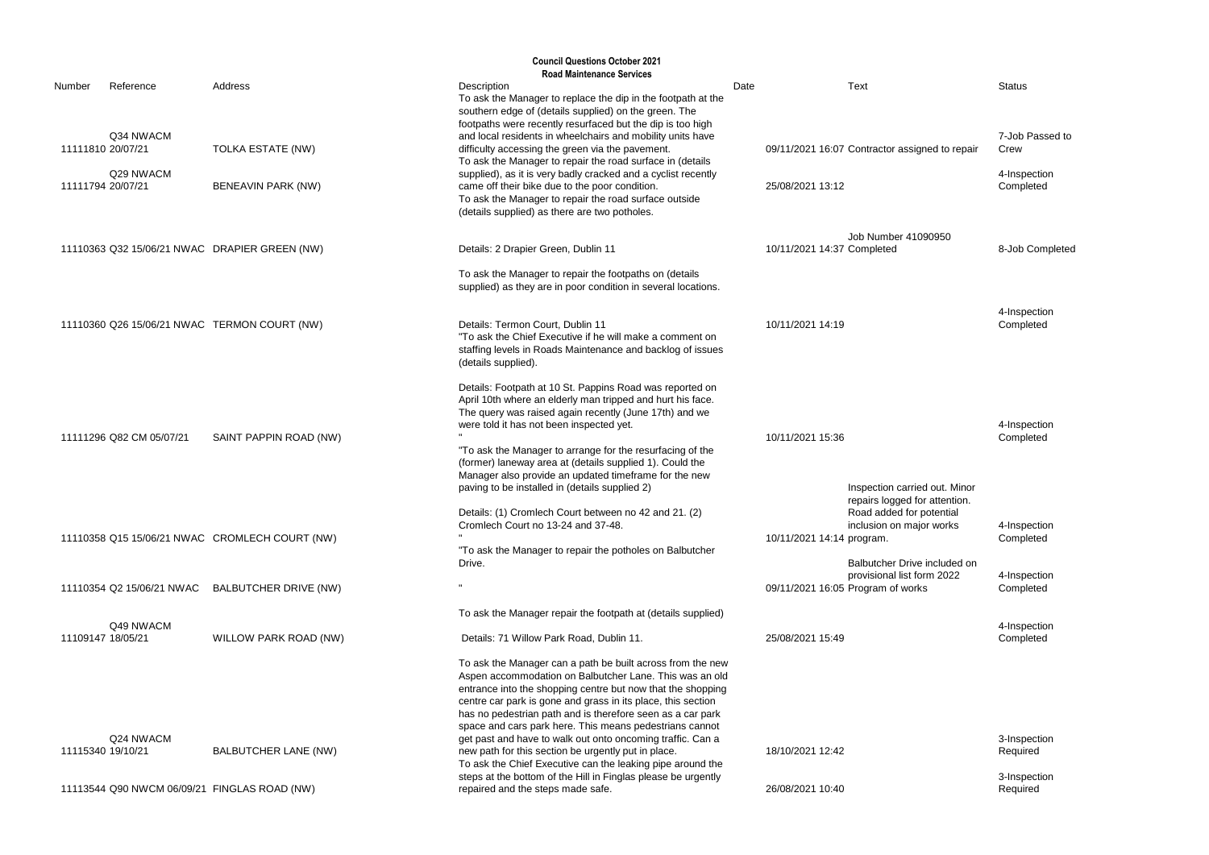7-Job Passed to Crew

4-Inspection Completed

8-Job Completed

4-Inspection **Completed** 

4-Inspection **Completed** 

4-Inspection Completed

4-Inspection Completed

|                   |                           |                                                | <b>Council Questions October 2021</b>                                                                                                                                                                                                                                                                                                                                                                                                                            |      |                                   |                                                                                      |                 |
|-------------------|---------------------------|------------------------------------------------|------------------------------------------------------------------------------------------------------------------------------------------------------------------------------------------------------------------------------------------------------------------------------------------------------------------------------------------------------------------------------------------------------------------------------------------------------------------|------|-----------------------------------|--------------------------------------------------------------------------------------|-----------------|
| Number            | Reference                 | Address                                        | <b>Road Maintenance Services</b><br>Description                                                                                                                                                                                                                                                                                                                                                                                                                  | Date |                                   | <b>Text</b>                                                                          | <b>Status</b>   |
|                   |                           |                                                | To ask the Manager to replace the dip in the footpath at the<br>southern edge of (details supplied) on the green. The<br>footpaths were recently resurfaced but the dip is too high                                                                                                                                                                                                                                                                              |      |                                   |                                                                                      |                 |
| 11111810 20/07/21 | Q34 NWACM                 | TOLKA ESTATE (NW)                              | and local residents in wheelchairs and mobility units have<br>difficulty accessing the green via the pavement.<br>To ask the Manager to repair the road surface in (details                                                                                                                                                                                                                                                                                      |      |                                   | 09/11/2021 16:07 Contractor assigned to repair                                       | 7-Job<br>Crew   |
| 11111794 20/07/21 | Q29 NWACM                 | BENEAVIN PARK (NW)                             | supplied), as it is very badly cracked and a cyclist recently<br>came off their bike due to the poor condition.<br>To ask the Manager to repair the road surface outside<br>(details supplied) as there are two potholes.                                                                                                                                                                                                                                        |      | 25/08/2021 13:12                  |                                                                                      | 4-Insp<br>Comp  |
|                   |                           | 11110363 Q32 15/06/21 NWAC DRAPIER GREEN (NW)  | Details: 2 Drapier Green, Dublin 11                                                                                                                                                                                                                                                                                                                                                                                                                              |      | 10/11/2021 14:37 Completed        | Job Number 41090950                                                                  | 8-Job           |
|                   |                           |                                                | To ask the Manager to repair the footpaths on (details<br>supplied) as they are in poor condition in several locations.                                                                                                                                                                                                                                                                                                                                          |      |                                   |                                                                                      |                 |
|                   |                           | 11110360 Q26 15/06/21 NWAC TERMON COURT (NW)   | Details: Termon Court, Dublin 11<br>"To ask the Chief Executive if he will make a comment on<br>staffing levels in Roads Maintenance and backlog of issues<br>(details supplied).                                                                                                                                                                                                                                                                                |      | 10/11/2021 14:19                  |                                                                                      | 4-Insp<br>Comp  |
|                   | 11111296 Q82 CM 05/07/21  | SAINT PAPPIN ROAD (NW)                         | Details: Footpath at 10 St. Pappins Road was reported on<br>April 10th where an elderly man tripped and hurt his face.<br>The query was raised again recently (June 17th) and we<br>were told it has not been inspected yet.<br>"To ask the Manager to arrange for the resurfacing of the<br>(former) laneway area at (details supplied 1). Could the<br>Manager also provide an updated timeframe for the new<br>paving to be installed in (details supplied 2) |      | 10/11/2021 15:36                  | Inspection carried out. Minor<br>repairs logged for attention.                       | 4-Insp<br>Comp  |
|                   |                           | 11110358 Q15 15/06/21 NWAC CROMLECH COURT (NW) | Details: (1) Cromlech Court between no 42 and 21. (2)<br>Cromlech Court no 13-24 and 37-48.<br>"To ask the Manager to repair the potholes on Balbutcher<br>Drive.                                                                                                                                                                                                                                                                                                |      | 10/11/2021 14:14 program.         | Road added for potential<br>inclusion on major works<br>Balbutcher Drive included on | 4-Insp<br>Comp  |
|                   | 11110354 Q2 15/06/21 NWAC | <b>BALBUTCHER DRIVE (NW)</b>                   |                                                                                                                                                                                                                                                                                                                                                                                                                                                                  |      | 09/11/2021 16:05 Program of works | provisional list form 2022                                                           | 4-Insp<br>Comp  |
|                   |                           |                                                | To ask the Manager repair the footpath at (details supplied)                                                                                                                                                                                                                                                                                                                                                                                                     |      |                                   |                                                                                      |                 |
| 11109147 18/05/21 | Q49 NWACM                 | WILLOW PARK ROAD (NW)                          | Details: 71 Willow Park Road, Dublin 11.                                                                                                                                                                                                                                                                                                                                                                                                                         |      | 25/08/2021 15:49                  |                                                                                      | 4-Insp<br>Comp  |
|                   | Q24 NWACM                 |                                                | To ask the Manager can a path be built across from the new<br>Aspen accommodation on Balbutcher Lane. This was an old<br>entrance into the shopping centre but now that the shopping<br>centre car park is gone and grass in its place, this section<br>has no pedestrian path and is therefore seen as a car park<br>space and cars park here. This means pedestrians cannot<br>get past and have to walk out onto oncoming traffic. Can a                      |      |                                   |                                                                                      | 3-Insp          |
| 11115340 19/10/21 |                           | <b>BALBUTCHER LANE (NW)</b>                    | new path for this section be urgently put in place.<br>To ask the Chief Executive can the leaking pipe around the<br>steps at the bottom of the Hill in Finglas please be urgently                                                                                                                                                                                                                                                                               |      | 18/10/2021 12:42                  |                                                                                      | Requi<br>3-Insp |
|                   |                           | 11113544 Q90 NWCM 06/09/21 FINGLAS ROAD (NW)   | repaired and the steps made safe.                                                                                                                                                                                                                                                                                                                                                                                                                                |      | 26/08/2021 10:40                  |                                                                                      | Requi           |

3-Inspection **Required** 

4-Inspection Completed

3-Inspection Required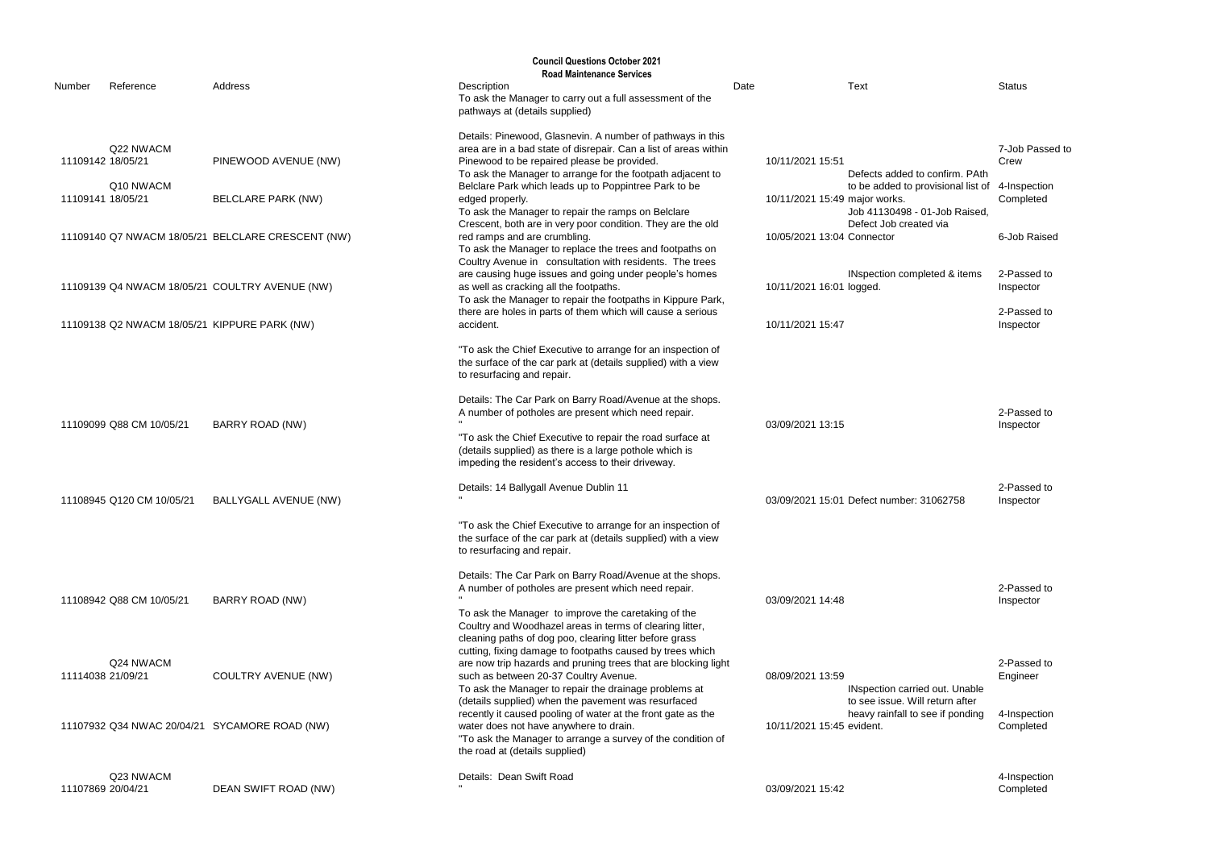|                                        |                           |                                                   | <b>Council Questions October 2021</b>                                                                                                                                                                                                                                                                                   |      |                                                                                                                           |                                                      |
|----------------------------------------|---------------------------|---------------------------------------------------|-------------------------------------------------------------------------------------------------------------------------------------------------------------------------------------------------------------------------------------------------------------------------------------------------------------------------|------|---------------------------------------------------------------------------------------------------------------------------|------------------------------------------------------|
| Number                                 | Reference                 | Address                                           | <b>Road Maintenance Services</b><br>Description<br>To ask the Manager to carry out a full assessment of the<br>pathways at (details supplied)                                                                                                                                                                           | Date | <b>Text</b>                                                                                                               | <b>Status</b>                                        |
| 11109142 18/05/21<br>11109141 18/05/21 | Q22 NWACM<br>Q10 NWACM    | PINEWOOD AVENUE (NW)<br><b>BELCLARE PARK (NW)</b> | Details: Pinewood, Glasnevin. A number of pathways in this<br>area are in a bad state of disrepair. Can a list of areas within<br>Pinewood to be repaired please be provided.<br>To ask the Manager to arrange for the footpath adjacent to<br>Belclare Park which leads up to Poppintree Park to be<br>edged properly. |      | 10/11/2021 15:51<br>Defects added to confirm. PAth<br>to be added to provisional list of<br>10/11/2021 15:49 major works. | 7-Job Passed to<br>Crew<br>4-Inspection<br>Completed |
|                                        |                           | 11109140 Q7 NWACM 18/05/21 BELCLARE CRESCENT (NW) | To ask the Manager to repair the ramps on Belclare<br>Crescent, both are in very poor condition. They are the old<br>red ramps and are crumbling.<br>To ask the Manager to replace the trees and footpaths on<br>Coultry Avenue in consultation with residents. The trees                                               |      | Job 41130498 - 01-Job Raised,<br>Defect Job created via<br>10/05/2021 13:04 Connector                                     | 6-Job Raised                                         |
|                                        |                           | 11109139 Q4 NWACM 18/05/21 COULTRY AVENUE (NW)    | are causing huge issues and going under people's homes<br>as well as cracking all the footpaths.<br>To ask the Manager to repair the footpaths in Kippure Park,                                                                                                                                                         |      | INspection completed & items<br>10/11/2021 16:01 logged.                                                                  | 2-Passed to<br>Inspector                             |
|                                        |                           | 11109138 Q2 NWACM 18/05/21 KIPPURE PARK (NW)      | there are holes in parts of them which will cause a serious<br>accident.                                                                                                                                                                                                                                                |      | 10/11/2021 15:47                                                                                                          | 2-Passed to<br>Inspector                             |
|                                        |                           |                                                   | "To ask the Chief Executive to arrange for an inspection of<br>the surface of the car park at (details supplied) with a view<br>to resurfacing and repair.                                                                                                                                                              |      |                                                                                                                           |                                                      |
|                                        | 11109099 Q88 CM 10/05/21  | <b>BARRY ROAD (NW)</b>                            | Details: The Car Park on Barry Road/Avenue at the shops.<br>A number of potholes are present which need repair.<br>"To ask the Chief Executive to repair the road surface at<br>(details supplied) as there is a large pothole which is<br>impeding the resident's access to their driveway.                            |      | 03/09/2021 13:15                                                                                                          | 2-Passed to<br>Inspector                             |
|                                        | 11108945 Q120 CM 10/05/21 | <b>BALLYGALL AVENUE (NW)</b>                      | Details: 14 Ballygall Avenue Dublin 11                                                                                                                                                                                                                                                                                  |      | 03/09/2021 15:01 Defect number: 31062758                                                                                  | 2-Passed to<br>Inspector                             |
|                                        |                           |                                                   | "To ask the Chief Executive to arrange for an inspection of<br>the surface of the car park at (details supplied) with a view<br>to resurfacing and repair.                                                                                                                                                              |      |                                                                                                                           |                                                      |
|                                        | 11108942 Q88 CM 10/05/21  | <b>BARRY ROAD (NW)</b>                            | Details: The Car Park on Barry Road/Avenue at the shops.<br>A number of potholes are present which need repair.<br>To ask the Manager to improve the caretaking of the<br>Coultry and Woodhazel areas in terms of clearing litter,<br>cleaning paths of dog poo, clearing litter before grass                           |      | 03/09/2021 14:48                                                                                                          | 2-Passed to<br>Inspector                             |
| 11114038 21/09/21                      | Q24 NWACM                 | <b>COULTRY AVENUE (NW)</b>                        | cutting, fixing damage to footpaths caused by trees which<br>are now trip hazards and pruning trees that are blocking light<br>such as between 20-37 Coultry Avenue.<br>To ask the Manager to repair the drainage problems at<br>(details supplied) when the pavement was resurfaced                                    |      | 08/09/2021 13:59<br>INspection carried out. Unable<br>to see issue. Will return after                                     | 2-Passed to<br>Engineer                              |
|                                        |                           | 11107932 Q34 NWAC 20/04/21 SYCAMORE ROAD (NW)     | recently it caused pooling of water at the front gate as the<br>water does not have anywhere to drain.<br>"To ask the Manager to arrange a survey of the condition of<br>the road at (details supplied)                                                                                                                 |      | heavy rainfall to see if ponding<br>10/11/2021 15:45 evident.                                                             | 4-Inspection<br>Completed                            |
| 11107869 20/04/21                      | Q23 NWACM                 | DEAN SWIFT ROAD (NW)                              | Details: Dean Swift Road                                                                                                                                                                                                                                                                                                |      | 03/09/2021 15:42                                                                                                          | 4-Inspection<br>Completed                            |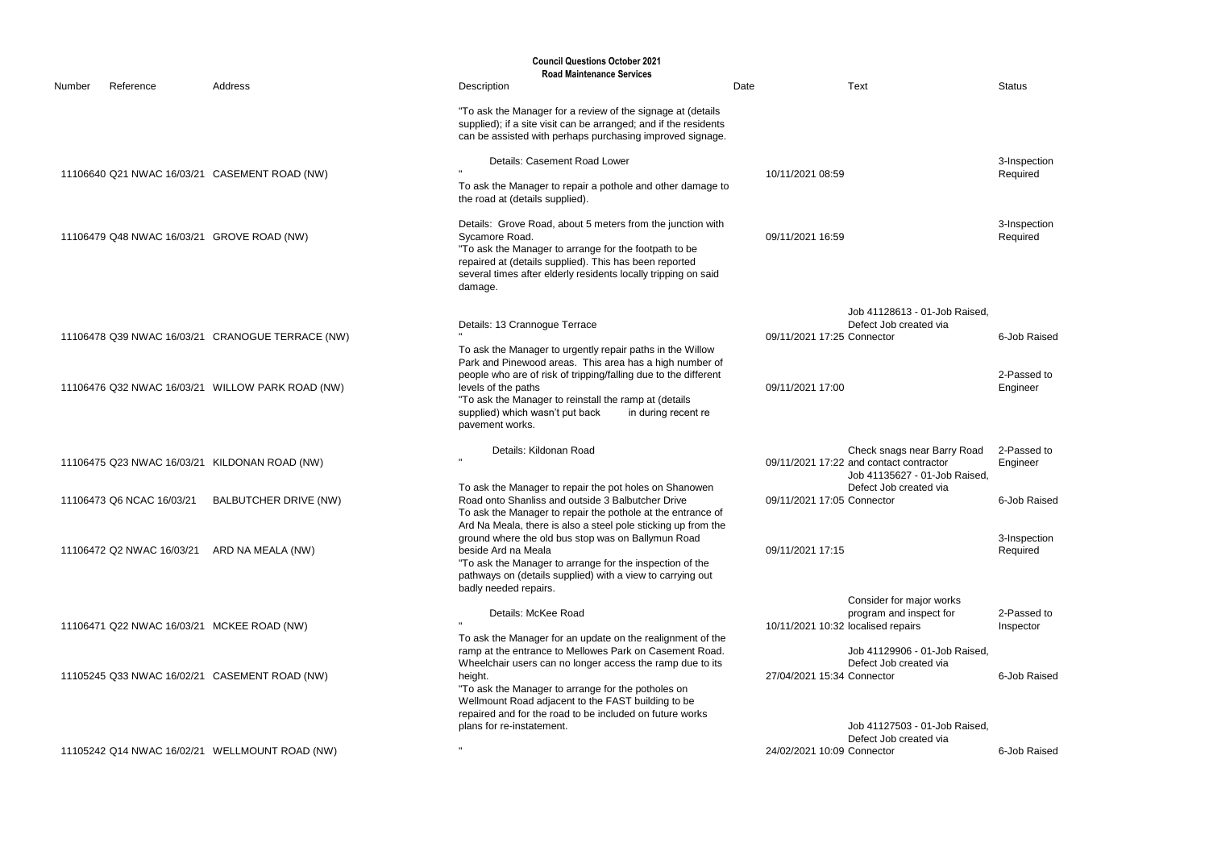|        |                                            |                                                  | <b>Council Questions October 2021</b><br><b>Road Maintenance Services</b>                                                                                                                                                                                                    |      |                                                                                                         |                          |
|--------|--------------------------------------------|--------------------------------------------------|------------------------------------------------------------------------------------------------------------------------------------------------------------------------------------------------------------------------------------------------------------------------------|------|---------------------------------------------------------------------------------------------------------|--------------------------|
| Number | Reference                                  | Address                                          | Description                                                                                                                                                                                                                                                                  | Date | <b>Text</b>                                                                                             | <b>Status</b>            |
|        |                                            |                                                  | "To ask the Manager for a review of the signage at (details<br>supplied); if a site visit can be arranged; and if the residents<br>can be assisted with perhaps purchasing improved signage.                                                                                 |      |                                                                                                         |                          |
|        |                                            | 11106640 Q21 NWAC 16/03/21 CASEMENT ROAD (NW)    | Details: Casement Road Lower<br>To ask the Manager to repair a pothole and other damage to                                                                                                                                                                                   |      | 10/11/2021 08:59                                                                                        | 3-Inspection<br>Required |
|        |                                            |                                                  | the road at (details supplied).                                                                                                                                                                                                                                              |      |                                                                                                         |                          |
|        | 11106479 Q48 NWAC 16/03/21 GROVE ROAD (NW) |                                                  | Details: Grove Road, about 5 meters from the junction with<br>Sycamore Road.<br>"To ask the Manager to arrange for the footpath to be<br>repaired at (details supplied). This has been reported<br>several times after elderly residents locally tripping on said<br>damage. |      | 09/11/2021 16:59                                                                                        | 3-Inspection<br>Required |
|        |                                            |                                                  |                                                                                                                                                                                                                                                                              |      | Job 41128613 - 01-Job Raised,<br>Defect Job created via                                                 |                          |
|        |                                            | 11106478 Q39 NWAC 16/03/21 CRANOGUE TERRACE (NW) | Details: 13 Crannogue Terrace<br>To ask the Manager to urgently repair paths in the Willow<br>Park and Pinewood areas. This area has a high number of                                                                                                                        |      | 09/11/2021 17:25 Connector                                                                              | 6-Job Raised             |
|        |                                            | 11106476 Q32 NWAC 16/03/21 WILLOW PARK ROAD (NW) | people who are of risk of tripping/falling due to the different<br>levels of the paths<br>"To ask the Manager to reinstall the ramp at (details<br>supplied) which wasn't put back<br>in during recent re<br>pavement works.                                                 |      | 09/11/2021 17:00                                                                                        | 2-Passed to<br>Engineer  |
|        |                                            | 11106475 Q23 NWAC 16/03/21 KILDONAN ROAD (NW)    | Details: Kildonan Road                                                                                                                                                                                                                                                       |      | Check snags near Barry Road<br>09/11/2021 17:22 and contact contractor<br>Job 41135627 - 01-Job Raised, | 2-Passed to<br>Engineer  |
|        | 11106473 Q6 NCAC 16/03/21                  | <b>BALBUTCHER DRIVE (NW)</b>                     | To ask the Manager to repair the pot holes on Shanowen<br>Road onto Shanliss and outside 3 Balbutcher Drive<br>To ask the Manager to repair the pothole at the entrance of<br>Ard Na Meala, there is also a steel pole sticking up from the                                  |      | Defect Job created via<br>09/11/2021 17:05 Connector                                                    | 6-Job Raised             |
|        |                                            | 11106472 Q2 NWAC 16/03/21 ARD NA MEALA (NW)      | ground where the old bus stop was on Ballymun Road<br>beside Ard na Meala<br>"To ask the Manager to arrange for the inspection of the<br>pathways on (details supplied) with a view to carrying out                                                                          |      | 09/11/2021 17:15                                                                                        | 3-Inspection<br>Required |
|        | 11106471 Q22 NWAC 16/03/21 MCKEE ROAD (NW) |                                                  | badly needed repairs.<br>Details: McKee Road<br>To ask the Manager for an update on the realignment of the                                                                                                                                                                   |      | Consider for major works<br>program and inspect for<br>10/11/2021 10:32 localised repairs               | 2-Passed to<br>Inspector |
|        |                                            | 11105245 Q33 NWAC 16/02/21 CASEMENT ROAD (NW)    | ramp at the entrance to Mellowes Park on Casement Road.<br>Wheelchair users can no longer access the ramp due to its<br>height.<br>"To ask the Manager to arrange for the potholes on<br>Wellmount Road adjacent to the FAST building to be                                  |      | Job 41129906 - 01-Job Raised,<br>Defect Job created via<br>27/04/2021 15:34 Connector                   | 6-Job Raised             |
|        |                                            |                                                  | repaired and for the road to be included on future works<br>plans for re-instatement.                                                                                                                                                                                        |      | Job 41127503 - 01-Job Raised,<br>Defect Job created via                                                 |                          |
|        |                                            | 11105242 Q14 NWAC 16/02/21 WELLMOUNT ROAD (NW)   |                                                                                                                                                                                                                                                                              |      | 24/02/2021 10:09 Connector                                                                              | 6-Job Raised             |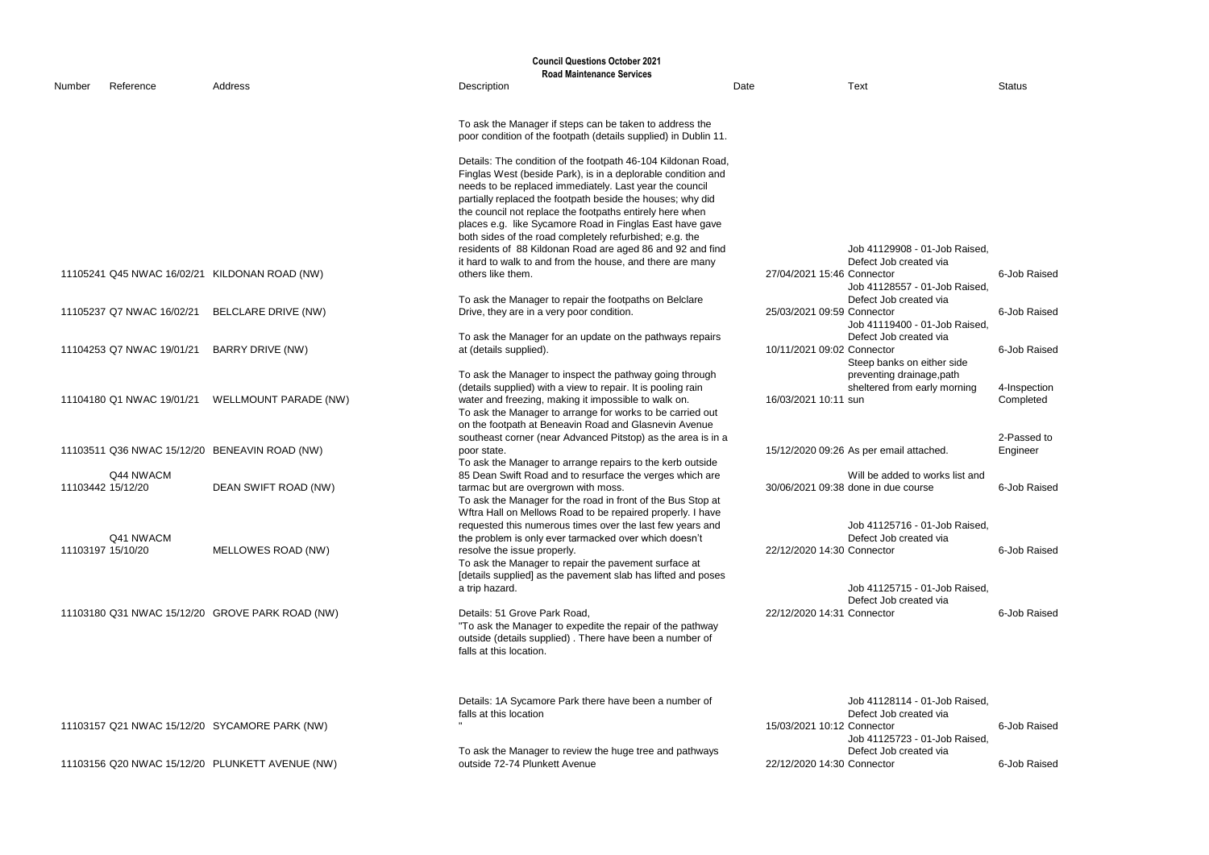|        | <b>Council Questions October 2021</b> |                                                 |                                                                                                                                                                                                                                               |      |                                                                                       |                           |
|--------|---------------------------------------|-------------------------------------------------|-----------------------------------------------------------------------------------------------------------------------------------------------------------------------------------------------------------------------------------------------|------|---------------------------------------------------------------------------------------|---------------------------|
|        |                                       |                                                 | <b>Road Maintenance Services</b>                                                                                                                                                                                                              |      |                                                                                       |                           |
| Number | Reference                             | Address                                         | Description                                                                                                                                                                                                                                   | Date | <b>Text</b>                                                                           | <b>Status</b>             |
|        |                                       |                                                 | To ask the Manager if steps can be taken to address the<br>poor condition of the footpath (details supplied) in Dublin 11.                                                                                                                    |      |                                                                                       |                           |
|        |                                       |                                                 | Details: The condition of the footpath 46-104 Kildonan Road,<br>Finglas West (beside Park), is in a deplorable condition and<br>needs to be replaced immediately. Last year the council                                                       |      |                                                                                       |                           |
|        |                                       |                                                 | partially replaced the footpath beside the houses; why did<br>the council not replace the footpaths entirely here when<br>places e.g. like Sycamore Road in Finglas East have gave<br>both sides of the road completely refurbished; e.g. the |      |                                                                                       |                           |
|        |                                       |                                                 | residents of 88 Kildonan Road are aged 86 and 92 and find                                                                                                                                                                                     |      | Job 41129908 - 01-Job Raised,                                                         |                           |
|        |                                       | 11105241 Q45 NWAC 16/02/21 KILDONAN ROAD (NW)   | it hard to walk to and from the house, and there are many<br>others like them.                                                                                                                                                                |      | Defect Job created via<br>27/04/2021 15:46 Connector<br>Job 41128557 - 01-Job Raised  | 6-Job Raised              |
|        | 11105237 Q7 NWAC 16/02/21             | <b>BELCLARE DRIVE (NW)</b>                      | To ask the Manager to repair the footpaths on Belclare<br>Drive, they are in a very poor condition.                                                                                                                                           |      | Defect Job created via<br>25/03/2021 09:59 Connector<br>Job 41119400 - 01-Job Raised, | 6-Job Raised              |
|        | 11104253 Q7 NWAC 19/01/21             | <b>BARRY DRIVE (NW)</b>                         | To ask the Manager for an update on the pathways repairs<br>at (details supplied).                                                                                                                                                            |      | Defect Job created via<br>10/11/2021 09:02 Connector<br>Steep banks on either side    | 6-Job Raised              |
|        | 11104180 Q1 NWAC 19/01/21             | <b>WELLMOUNT PARADE (NW)</b>                    | To ask the Manager to inspect the pathway going through<br>(details supplied) with a view to repair. It is pooling rain<br>water and freezing, making it impossible to walk on.                                                               |      | preventing drainage, path<br>sheltered from early morning<br>16/03/2021 10:11 sun     | 4-Inspection<br>Completed |
|        |                                       |                                                 | To ask the Manager to arrange for works to be carried out<br>on the footpath at Beneavin Road and Glasnevin Avenue                                                                                                                            |      |                                                                                       |                           |
|        |                                       | 11103511 Q36 NWAC 15/12/20 BENEAVIN ROAD (NW)   | southeast corner (near Advanced Pitstop) as the area is in a<br>poor state.<br>To ask the Manager to arrange repairs to the kerb outside                                                                                                      |      | 15/12/2020 09:26 As per email attached.                                               | 2-Passed to<br>Engineer   |
|        | Q44 NWACM<br>11103442 15/12/20        | DEAN SWIFT ROAD (NW)                            | 85 Dean Swift Road and to resurface the verges which are<br>tarmac but are overgrown with moss.                                                                                                                                               |      | Will be added to works list and<br>30/06/2021 09:38 done in due course                | 6-Job Raised              |
|        |                                       |                                                 | To ask the Manager for the road in front of the Bus Stop at<br>Wftra Hall on Mellows Road to be repaired properly. I have<br>requested this numerous times over the last few years and                                                        |      | Job 41125716 - 01-Job Raised,                                                         |                           |
|        | Q41 NWACM                             |                                                 | the problem is only ever tarmacked over which doesn't                                                                                                                                                                                         |      | Defect Job created via                                                                |                           |
|        | 11103197 15/10/20                     | MELLOWES ROAD (NW)                              | resolve the issue properly.<br>To ask the Manager to repair the pavement surface at<br>[details supplied] as the pavement slab has lifted and poses                                                                                           |      | 22/12/2020 14:30 Connector                                                            | 6-Job Raised              |
|        |                                       |                                                 | a trip hazard.                                                                                                                                                                                                                                |      | Job 41125715 - 01-Job Raised,<br>Defect Job created via                               |                           |
|        |                                       | 11103180 Q31 NWAC 15/12/20 GROVE PARK ROAD (NW) | Details: 51 Grove Park Road,<br>"To ask the Manager to expedite the repair of the pathway<br>outside (details supplied). There have been a number of<br>falls at this location.                                                               |      | 22/12/2020 14:31 Connector                                                            | 6-Job Raised              |
|        |                                       |                                                 |                                                                                                                                                                                                                                               |      |                                                                                       |                           |
|        |                                       | 11103157 Q21 NWAC 15/12/20 SYCAMORE PARK (NW)   | Details: 1A Sycamore Park there have been a number of<br>falls at this location                                                                                                                                                               |      | Job 41128114 - 01-Job Raised,<br>Defect Job created via<br>15/03/2021 10:12 Connector | 6-Job Raised              |
|        |                                       | 11103156 Q20 NWAC 15/12/20 PLUNKETT AVENUE (NW) | To ask the Manager to review the huge tree and pathways<br>outside 72-74 Plunkett Avenue                                                                                                                                                      |      | Job 41125723 - 01-Job Raised<br>Defect Job created via<br>22/12/2020 14:30 Connector  | 6-Job Raised              |
|        |                                       |                                                 |                                                                                                                                                                                                                                               |      |                                                                                       |                           |